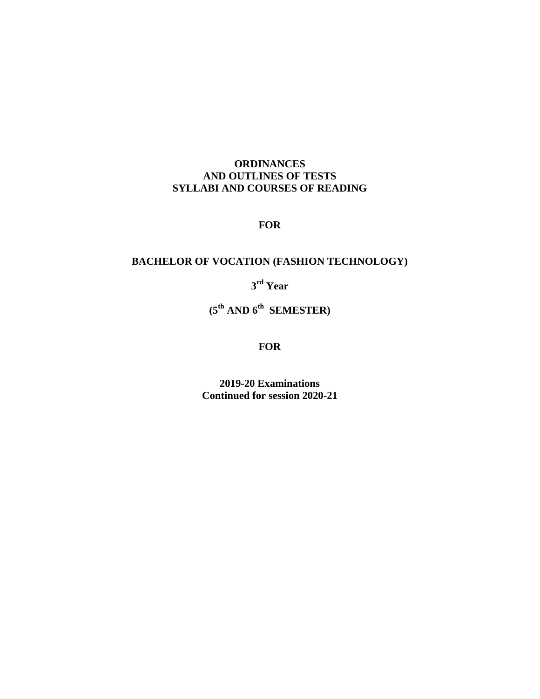## **ORDINANCES AND OUTLINES OF TESTS SYLLABI AND COURSES OF READING**

## **FOR**

# **BACHELOR OF VOCATION (FASHION TECHNOLOGY)**

**3 rd Year** 

**(5 th AND 6th SEMESTER)**

### **FOR**

**2019-20 Examinations Continued for session 2020-21**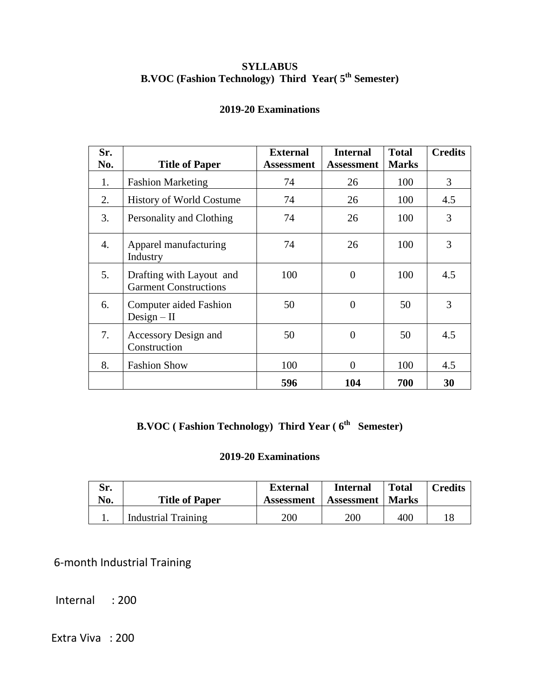## **SYLLABUS B.VOC (Fashion Technology) Third Year( 5th Semester)**

## **2019-20 Examinations**

| Sr.<br>No. | <b>Title of Paper</b>                                    | <b>External</b><br><b>Assessment</b> | <b>Internal</b><br><b>Assessment</b> | <b>Total</b><br><b>Marks</b> | <b>Credits</b> |
|------------|----------------------------------------------------------|--------------------------------------|--------------------------------------|------------------------------|----------------|
| 1.         | <b>Fashion Marketing</b>                                 | 74                                   | 26                                   | 100                          | 3              |
| 2.         | <b>History of World Costume</b>                          | 74                                   | 26                                   | 100                          | 4.5            |
| 3.         | Personality and Clothing                                 | 74                                   | 26                                   | 100                          | 3              |
| 4.         | Apparel manufacturing<br>Industry                        | 74                                   | 26                                   | 100                          | 3              |
| 5.         | Drafting with Layout and<br><b>Garment Constructions</b> | 100                                  | $\overline{0}$                       | 100                          | 4.5            |
| 6.         | <b>Computer aided Fashion</b><br>$Design-II$             | 50                                   | $\overline{0}$                       | 50                           | 3              |
| 7.         | Accessory Design and<br>Construction                     | 50                                   | $\theta$                             | 50                           | 4.5            |
| 8.         | <b>Fashion Show</b>                                      | 100                                  | $\overline{0}$                       | 100                          | 4.5            |
|            |                                                          | 596                                  | 104                                  | 700                          | 30             |

# **B.VOC** (Fashion Technology) Third Year (6<sup>th</sup> Semester)

## **2019-20 Examinations**

| Sr.<br>No. | <b>Title of Paper</b>      | <b>External</b><br><b>Assessment</b> | <b>Internal</b><br>Assessment | <b>Total</b><br><b>Marks</b> | <b>Credits</b> |
|------------|----------------------------|--------------------------------------|-------------------------------|------------------------------|----------------|
|            | <b>Industrial Training</b> | <b>200</b>                           | 200                           | 400                          |                |

6-month Industrial Training

Internal : 200

Extra Viva : 200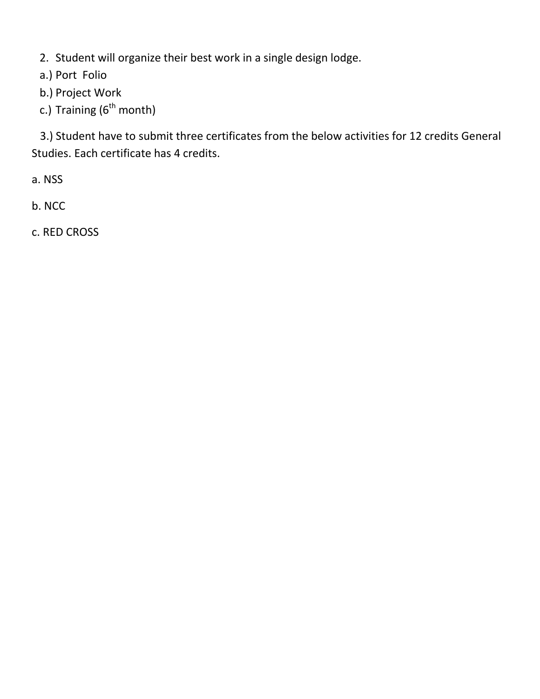2. Student will organize their best work in a single design lodge.

a.) Port Folio

b.) Project Work

c.) Training  $(6^{th}$  month)

 3.) Student have to submit three certificates from the below activities for 12 credits General Studies. Each certificate has 4 credits.

a. NSS

b. NCC

c. RED CROSS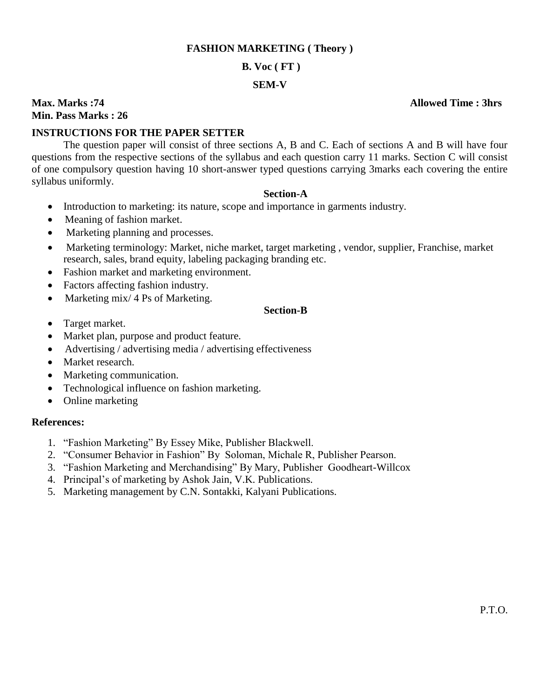#### **FASHION MARKETING ( Theory )**

### **B. Voc ( FT )**

#### **SEM-V**

**Max. Marks :74 Allowed Time : 3hrs Min. Pass Marks : 26** 

## **INSTRUCTIONS FOR THE PAPER SETTER**

The question paper will consist of three sections A, B and C. Each of sections A and B will have four questions from the respective sections of the syllabus and each question carry 11 marks. Section C will consist of one compulsory question having 10 short-answer typed questions carrying 3marks each covering the entire syllabus uniformly.

#### **Section-A**

- Introduction to marketing: its nature, scope and importance in garments industry.
- Meaning of fashion market.
- Marketing planning and processes.
- Marketing terminology: Market, niche market, target marketing , vendor, supplier, Franchise, market research, sales, brand equity, labeling packaging branding etc.
- Fashion market and marketing environment.
- Factors affecting fashion industry.
- Marketing mix/ 4 Ps of Marketing.

#### **Section-B**

- Target market.
- Market plan, purpose and product feature.
- Advertising / advertising media / advertising effectiveness
- Market research.
- Marketing communication.
- Technological influence on fashion marketing.
- Online marketing

### **References:**

- 1. "Fashion Marketing" By Essey Mike, Publisher Blackwell.
- 2. "Consumer Behavior in Fashion" By Soloman, Michale R, Publisher Pearson.
- 3. "Fashion Marketing and Merchandising" By Mary, Publisher Goodheart-Willcox
- 4. Principal's of marketing by Ashok Jain, V.K. Publications.
- 5. Marketing management by C.N. Sontakki, Kalyani Publications.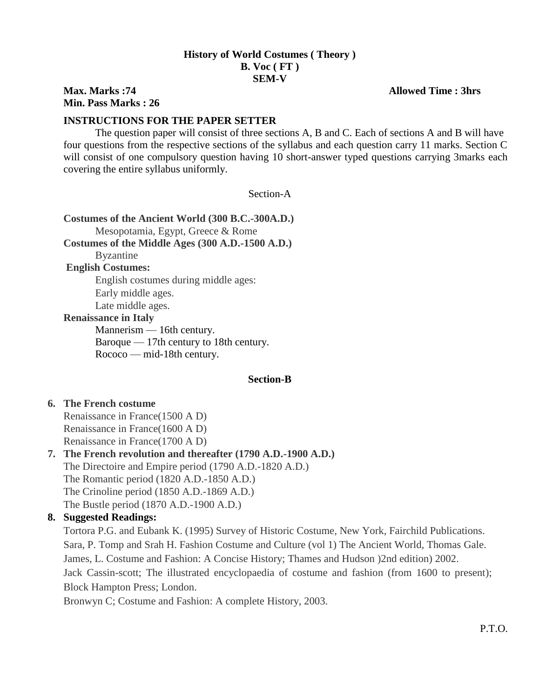## **History of World Costumes ( Theory ) B. Voc ( FT ) SEM-V**

## **Max. Marks :74 Allowed Time : 3hrs Min. Pass Marks : 26**

## **INSTRUCTIONS FOR THE PAPER SETTER**

The question paper will consist of three sections A, B and C. Each of sections A and B will have four questions from the respective sections of the syllabus and each question carry 11 marks. Section C will consist of one compulsory question having 10 short-answer typed questions carrying 3marks each covering the entire syllabus uniformly.

Section-A

**Costumes of the Ancient World (300 B.C.-300A.D.)** Mesopotamia, Egypt, Greece & Rome **Costumes of the Middle Ages (300 A.D.-1500 A.D.)** Byzantine **English Costumes:** English costumes during middle ages: Early middle ages. Late middle ages. **Renaissance in Italy** [Mannerism](http://en.wikipedia.org/wiki/Mannerism) — 16th century.

[Baroque](http://en.wikipedia.org/wiki/Baroque_painting) — 17th century to 18th century. [Rococo](http://en.wikipedia.org/wiki/Rococo) — mid-18th century.

### **Section-B**

### **6. The French costume**

Renaissance in France(1500 A D) Renaissance in France(1600 A D) Renaissance in France(1700 A D)

# **7. The French revolution and thereafter (1790 A.D.-1900 A.D.)**

The Directoire and Empire period (1790 A.D.-1820 A.D.)

The Romantic period (1820 A.D.-1850 A.D.)

The Crinoline period (1850 A.D.-1869 A.D.)

The Bustle period (1870 A.D.-1900 A.D.)

## **8. Suggested Readings:**

Tortora P.G. and Eubank K. (1995) Survey of Historic Costume, New York, Fairchild Publications. Sara, P. Tomp and Srah H. Fashion Costume and Culture (vol 1) The Ancient World, Thomas Gale. James, L. Costume and Fashion: A Concise History; Thames and Hudson )2nd edition) 2002. Jack Cassin-scott; The illustrated encyclopaedia of costume and fashion (from 1600 to present); Block Hampton Press; London.

Bronwyn C; Costume and Fashion: A complete History, 2003.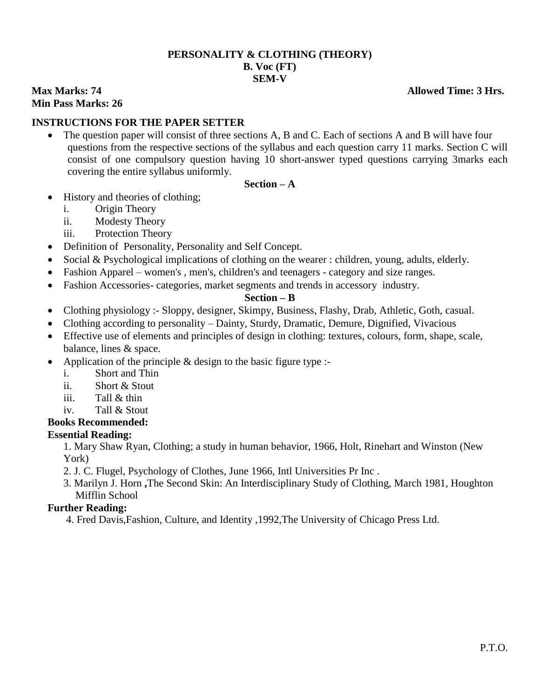## **PERSONALITY & CLOTHING (THEORY) B. Voc (FT) SEM-V**

**Max Marks: 74** Allowed Time: 3 Hrs. **Min Pass Marks: 26**

## **INSTRUCTIONS FOR THE PAPER SETTER**

• The question paper will consist of three sections A, B and C. Each of sections A and B will have four questions from the respective sections of the syllabus and each question carry 11 marks. Section C will consist of one compulsory question having 10 short-answer typed questions carrying 3marks each covering the entire syllabus uniformly.

#### **Section – A**

- History and theories of clothing;
	- i. Origin Theory
	- ii. Modesty Theory
	- iii. Protection Theory
- Definition of Personality, Personality and Self Concept.
- Social & Psychological implications of clothing on the wearer : children, young, adults, elderly.
- Fashion Apparel women's, men's, children's and teenagers category and size ranges.
- Fashion Accessories- categories, market segments and trends in accessory industry.

### **Section – B**

- Clothing physiology :- Sloppy, designer, Skimpy, Business, Flashy, Drab, Athletic, Goth, casual.
- Clothing according to personality Dainty, Sturdy, Dramatic, Demure, Dignified, Vivacious
- Effective use of elements and principles of design in clothing: textures, colours, form, shape, scale, balance, lines & space.
- Application of the principle & design to the basic figure type :
	- i. Short and Thin
	- ii. Short & Stout
	- iii. Tall & thin
	- iv. Tall & Stout
- **Books Recommended:**

## **Essential Reading:**

1. Mary Shaw Ryan, Clothing; a study in human behavior, 1966, Holt, Rinehart and Winston (New York)

- 2. J. C. Flugel, Psychology of Clothes, June 1966, Intl Universities Pr Inc .
- 3. Marilyn J. Horn **,**The Second Skin: An Interdisciplinary Study of Clothing, March 1981, Houghton Mifflin School

### **Further Reading:**

4. Fred Davis,Fashion, Culture, and Identity ,1992,The University of Chicago Press Ltd.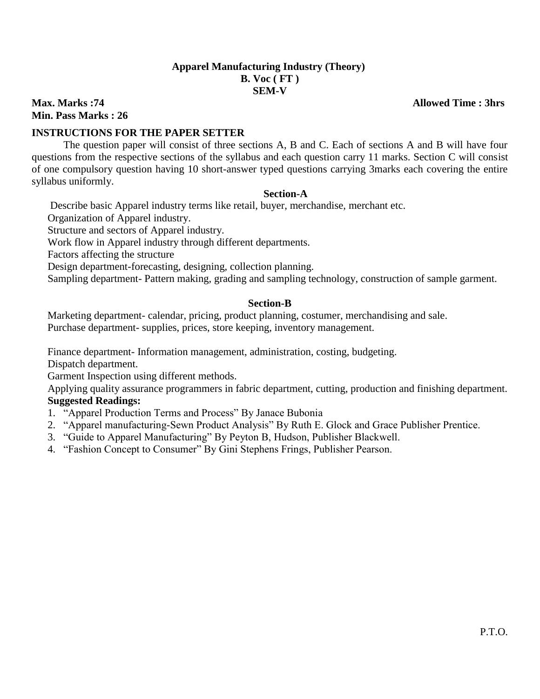# **Apparel Manufacturing Industry (Theory) B. Voc ( FT ) SEM-V**

**Max. Marks :74 Allowed Time : 3hrs Min. Pass Marks : 26** 

## **INSTRUCTIONS FOR THE PAPER SETTER**

The question paper will consist of three sections A, B and C. Each of sections A and B will have four questions from the respective sections of the syllabus and each question carry 11 marks. Section C will consist of one compulsory question having 10 short-answer typed questions carrying 3marks each covering the entire syllabus uniformly.

#### **Section-A**

Describe basic Apparel industry terms like retail, buyer, merchandise, merchant etc.

Organization of Apparel industry.

Structure and sectors of Apparel industry.

Work flow in Apparel industry through different departments.

Factors affecting the structure

Design department-forecasting, designing, collection planning.

Sampling department- Pattern making, grading and sampling technology, construction of sample garment.

### **Section-B**

Marketing department- calendar, pricing, product planning, costumer, merchandising and sale. Purchase department- supplies, prices, store keeping, inventory management.

Finance department- Information management, administration, costing, budgeting.

Dispatch department.

Garment Inspection using different methods.

Applying quality assurance programmers in fabric department, cutting, production and finishing department. **Suggested Readings:**

- 1. "Apparel Production Terms and Process" By Janace Bubonia
- 2. "Apparel manufacturing-Sewn Product Analysis" By Ruth E. Glock and Grace Publisher Prentice.
- 3. "Guide to Apparel Manufacturing" By Peyton B, Hudson, Publisher Blackwell.
- 4. "Fashion Concept to Consumer" By Gini Stephens Frings, Publisher Pearson.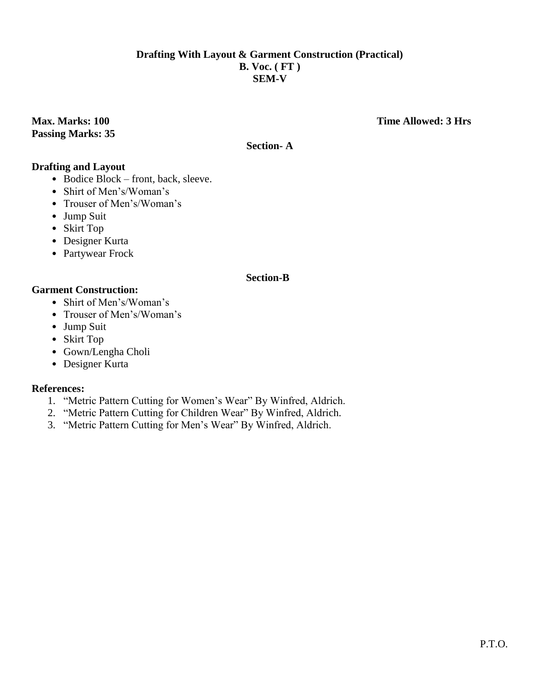## **Drafting With Layout & Garment Construction (Practical) B. Voc. ( FT ) SEM-V**

**Passing Marks: 35**

## **Max. Marks: 100 Time Allowed: 3 Hrs**

# **Section- A**

## **Drafting and Layout**

- Bodice Block front, back, sleeve.
- Shirt of Men's/Woman's
- Trouser of Men's/Woman's
- Jump Suit
- Skirt Top
- Designer Kurta
- Partywear Frock

### **Section-B**

### **Garment Construction:**

- Shirt of Men's/Woman's
- Trouser of Men's/Woman's
- Jump Suit
- Skirt Top
- Gown/Lengha Choli
- Designer Kurta

### **References:**

- 1. "Metric Pattern Cutting for Women's Wear" By Winfred, Aldrich.
- 2. "Metric Pattern Cutting for Children Wear" By Winfred, Aldrich.
- 3. "Metric Pattern Cutting for Men's Wear" By Winfred, Aldrich.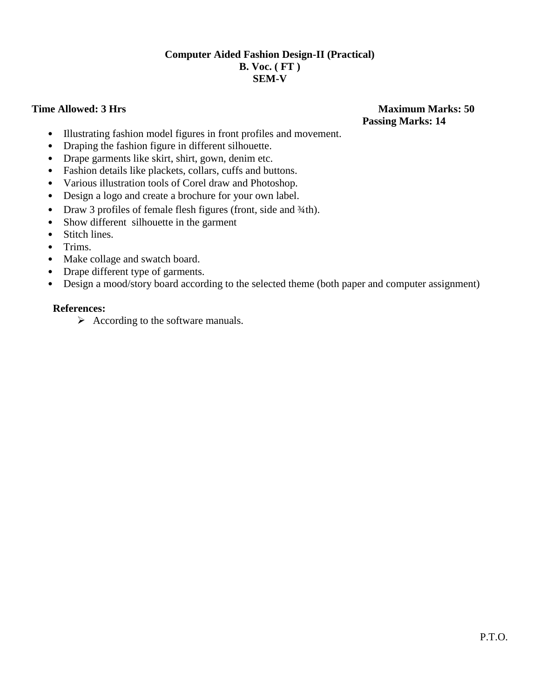## **Computer Aided Fashion Design-II (Practical) B. Voc. ( FT ) SEM-V**

# **Time Allowed: 3 Hrs** Maximum Marks: 50  **Passing Marks: 14**

- Illustrating fashion model figures in front profiles and movement.
- Draping the fashion figure in different silhouette.
- Drape garments like skirt, shirt, gown, denim etc.
- Fashion details like plackets, collars, cuffs and buttons.
- Various illustration tools of Corel draw and Photoshop.
- Design a logo and create a brochure for your own label.
- Draw 3 profiles of female flesh figures (front, side and  $\frac{3}{4}$ th).
- Show different silhouette in the garment
- Stitch lines.
- Trims.
- Make collage and swatch board.
- Drape different type of garments.
- Design a mood/story board according to the selected theme (both paper and computer assignment)

#### **References:**

 $\triangleright$  According to the software manuals.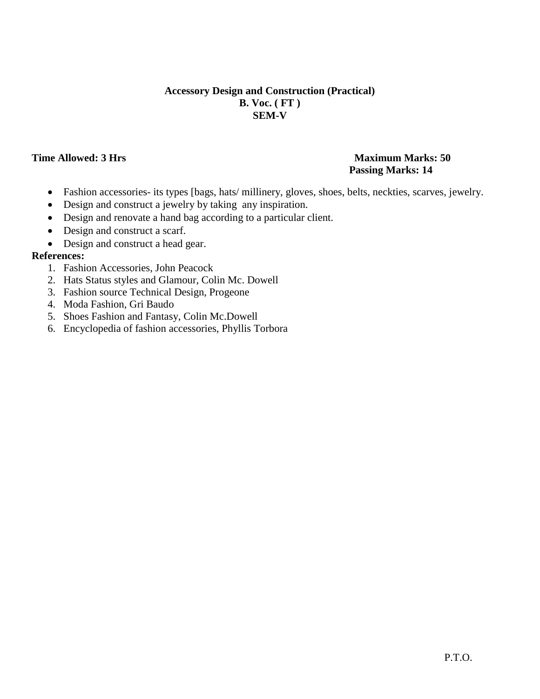## **Accessory Design and Construction (Practical) B. Voc. ( FT ) SEM-V**

## **Time Allowed: 3 Hrs** Maximum Marks: 50  **Passing Marks: 14**

- Fashion accessories- its types [bags, hats/ millinery, gloves, shoes, belts, neckties, scarves, jewelry.
- Design and construct a jewelry by taking any inspiration.
- Design and renovate a hand bag according to a particular client.
- Design and construct a scarf.
- Design and construct a head gear.

## **References:**

- 1. Fashion Accessories, John Peacock
- 2. Hats Status styles and Glamour, Colin Mc. Dowell
- 3. Fashion source Technical Design, Progeone
- 4. Moda Fashion, Gri Baudo
- 5. Shoes Fashion and Fantasy, Colin Mc.Dowell
- 6. Encyclopedia of fashion accessories, Phyllis Torbora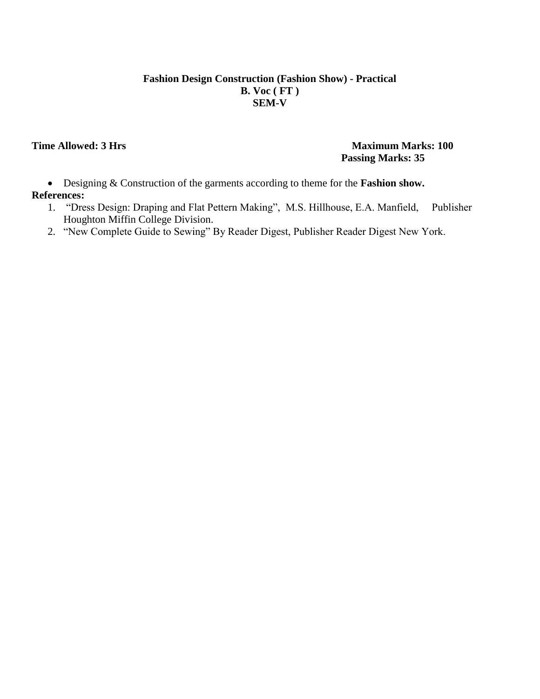## **Fashion Design Construction (Fashion Show) - Practical B. Voc ( FT ) SEM-V**

## **Time Allowed: 3 Hrs** Maximum Marks: 100  **Passing Marks: 35**

- Designing & Construction of the garments according to theme for the **Fashion show.**
- **References:**
	- 1. "Dress Design: Draping and Flat Pettern Making", M.S. Hillhouse, E.A. Manfield, Publisher Houghton Miffin College Division.
	- 2. "New Complete Guide to Sewing" By Reader Digest, Publisher Reader Digest New York.